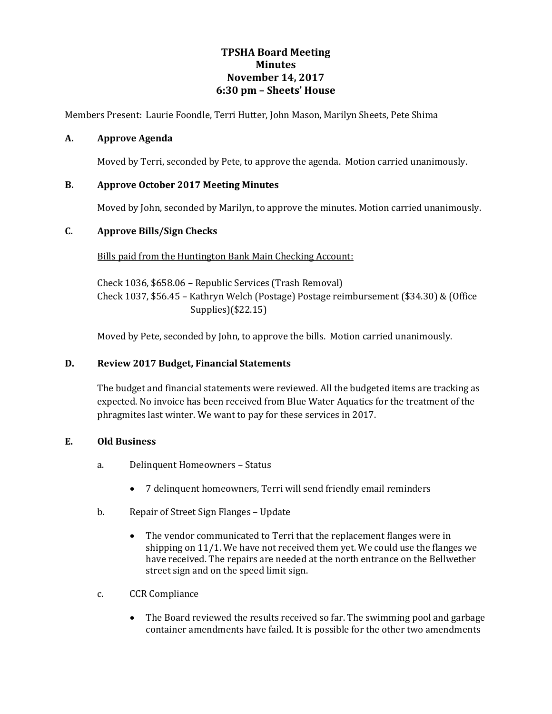# **TPSHA Board Meeting Minutes November 14, 2017 6:30 pm – Sheets' House**

Members Present: Laurie Foondle, Terri Hutter, John Mason, Marilyn Sheets, Pete Shima

### **A. Approve Agenda**

Moved by Terri, seconded by Pete, to approve the agenda. Motion carried unanimously.

### **B. Approve October 2017 Meeting Minutes**

Moved by John, seconded by Marilyn, to approve the minutes. Motion carried unanimously.

### **C. Approve Bills/Sign Checks**

Bills paid from the Huntington Bank Main Checking Account:

Check 1036, \$658.06 – Republic Services (Trash Removal) Check 1037, \$56.45 – Kathryn Welch (Postage) Postage reimbursement (\$34.30) & (Office Supplies)(\$22.15)

Moved by Pete, seconded by John, to approve the bills. Motion carried unanimously.

#### **D. Review 2017 Budget, Financial Statements**

The budget and financial statements were reviewed. All the budgeted items are tracking as expected. No invoice has been received from Blue Water Aquatics for the treatment of the phragmites last winter. We want to pay for these services in 2017.

### **E. Old Business**

- a. Delinquent Homeowners Status
	- 7 delinquent homeowners, Terri will send friendly email reminders
- b. Repair of Street Sign Flanges Update
	- The vendor communicated to Terri that the replacement flanges were in shipping on 11/1. We have not received them yet. We could use the flanges we have received. The repairs are needed at the north entrance on the Bellwether street sign and on the speed limit sign.
- c. CCR Compliance
	- The Board reviewed the results received so far. The swimming pool and garbage container amendments have failed. It is possible for the other two amendments